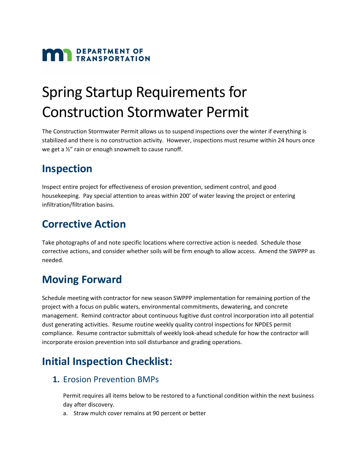# **MAN** DEPARTMENT OF

## Spring Startup Requirements for Construction Stormwater Permit

The Construction Stormwater Permit allows us to suspend inspections over the winter if everything is stabilized and there is no construction activity. However, inspections must resume within 24 hours once we get a ½" rain or enough snowmelt to cause runoff.

### **Inspection**

Inspect entire project for effectiveness of erosion prevention, sediment control, and good housekeeping. Pay special attention to areas within 200' of water leaving the project or entering infiltration/filtration basins.

## **Corrective Action**

Take photographs of and note specific locations where corrective action is needed. Schedule those corrective actions, and consider whether soils will be firm enough to allow access. Amend the SWPPP as needed.

## **Moving Forward**

Schedule meeting with contractor for new season SWPPP implementation for remaining portion of the project with a focus on public waters, environmental commitments, dewatering, and concrete management. Remind contractor about continuous fugitive dust control incorporation into all potential dust generating activities. Resume routine weekly quality control inspections for NPDES permit compliance. Resume contractor submittals of weekly look-ahead schedule for how the contractor will incorporate erosion prevention into soil disturbance and grading operations.

## **Initial Inspection Checklist:**

#### **1.** Erosion Prevention BMPs

Permit requires all items below to be restored to a functional condition within the next business day after discovery.

a. Straw mulch cover remains at 90 percent or better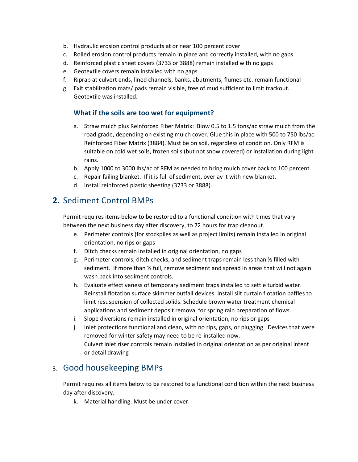- b. Hydraulic erosion control products at or near 100 percent cover
- c. Rolled erosion control products remain in place and correctly installed, with no gaps
- d. Reinforced plastic sheet covers (3733 or 3888) remain installed with no gaps
- e. Geotextile covers remain installed with no gaps
- f. Riprap at culvert ends, lined channels, banks, abutments, flumes etc. remain functional
- g. Exit stabilization mats/ pads remain visible, free of mud sufficient to limit trackout. Geotextile was installed.

#### **What if the soils are too wet for equipment?**

- a. Straw mulch plus Reinforced Fiber Matrix: Blow 0.5 to 1.5 tons/ac straw mulch from the road grade, depending on existing mulch cover. Glue this in place with 500 to 750 lbs/ac Reinforced Fiber Matrix (3884). Must be on soil, regardless of condition. Only RFM is suitable on cold wet soils, frozen soils (but not snow covered) or installation during light rains.
- b. Apply 1000 to 3000 lbs/ac of RFM as needed to bring mulch cover back to 100 percent.
- c. Repair failing blanket. If it is full of sediment, overlay it with new blanket.
- d. Install reinforced plastic sheeting (3733 or 3888).

#### **2.** Sediment Control BMPs

Permit requires items below to be restored to a functional condition with times that vary between the next business day after discovery, to 72 hours for trap cleanout.

- e. Perimeter controls (for stockpiles as well as project limits) remain installed in original orientation, no rips or gaps
- f. Ditch checks remain installed in original orientation, no gaps
- g. Perimeter controls, ditch checks, and sediment traps remain less than  $\frac{1}{2}$  filled with sediment. If more than ½ full, remove sediment and spread in areas that will not again wash back into sediment controls.
- h. Evaluate effectiveness of temporary sediment traps installed to settle turbid water. Reinstall flotation surface skimmer outfall devices. Install silt curtain flotation baffles to limit resuspension of collected solids. Schedule brown water treatment chemical applications and sediment deposit removal for spring rain preparation of flows.
- i. Slope diversions remain installed in original orientation, no rips or gaps
- j. Inlet protections functional and clean, with no rips, gaps, or plugging. Devices that were removed for winter safety may need to be re-installed now. Culvert inlet riser controls remain installed in original orientation as per original intent or detail drawing

#### 3. Good housekeeping BMPs

Permit requires all items below to be restored to a functional condition within the next business day after discovery.

k. Material handling. Must be under cover.